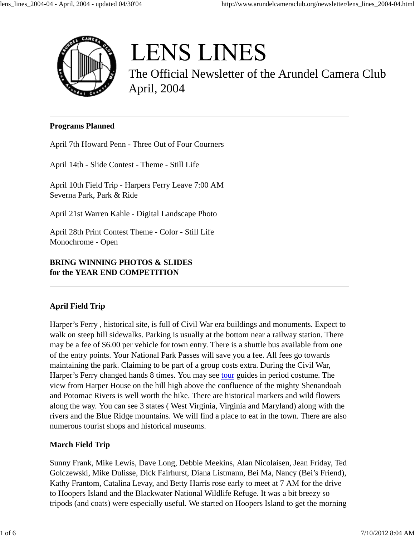

# **LENS LINES**

The Official Newsletter of the Arundel Camera Club April, 2004

#### **Programs Planned**

April 7th Howard Penn - Three Out of Four Courners

April 14th - Slide Contest - Theme - Still Life

April 10th Field Trip - Harpers Ferry Leave 7:00 AM Severna Park, Park & Ride

April 21st Warren Kahle - Digital Landscape Photo

April 28th Print Contest Theme - Color - Still Life Monochrome - Open

## **BRING WINNING PHOTOS & SLIDES for the YEAR END COMPETITION**

## **April Field Trip**

Harper's Ferry , historical site, is full of Civil War era buildings and monuments. Expect to walk on steep hill sidewalks. Parking is usually at the bottom near a railway station. There may be a fee of \$6.00 per vehicle for town entry. There is a shuttle bus available from one of the entry points. Your National Park Passes will save you a fee. All fees go towards maintaining the park. Claiming to be part of a group costs extra. During the Civil War, Harper's Ferry changed hands 8 times. You may see tour guides in period costume. The view from Harper House on the hill high above the confluence of the mighty Shenandoah and Potomac Rivers is well worth the hike. There are historical markers and wild flowers along the way. You can see 3 states ( West Virginia, Virginia and Maryland) along with the rivers and the Blue Ridge mountains. We will find a place to eat in the town. There are also numerous tourist shops and historical museums.

## **March Field Trip**

Sunny Frank, Mike Lewis, Dave Long, Debbie Meekins, Alan Nicolaisen, Jean Friday, Ted Golczewski, Mike Dulisse, Dick Fairhurst, Diana Listmann, Bei Ma, Nancy (Bei's Friend), Kathy Frantom, Catalina Levay, and Betty Harris rose early to meet at 7 AM for the drive to Hoopers Island and the Blackwater National Wildlife Refuge. It was a bit breezy so tripods (and coats) were especially useful. We started on Hoopers Island to get the morning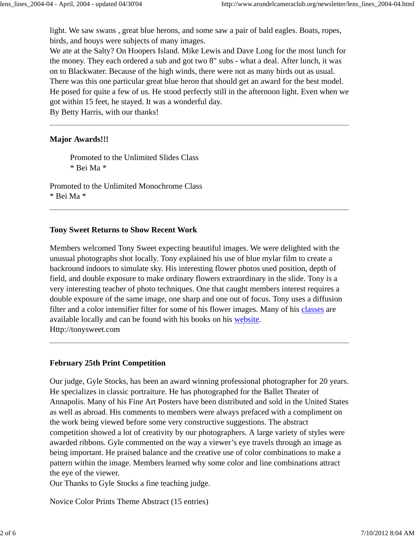light. We saw swans , great blue herons, and some saw a pair of bald eagles. Boats, ropes, birds, and bouys were subjects of many images.

We ate at the Salty? On Hoopers Island. Mike Lewis and Dave Long for the most lunch for the money. They each ordered a sub and got two 8" subs - what a deal. After lunch, it was on to Blackwater. Because of the high winds, there were not as many birds out as usual. There was this one particular great blue heron that should get an award for the best model. He posed for quite a few of us. He stood perfectly still in the afternoon light. Even when we got within 15 feet, he stayed. It was a wonderful day.

By Betty Harris, with our thanks!

## **Major Awards!!!**

Promoted to the Unlimited Slides Class \* Bei Ma \*

Promoted to the Unlimited Monochrome Class \* Bei Ma \*

## **Tony Sweet Returns to Show Recent Work**

Members welcomed Tony Sweet expecting beautiful images. We were delighted with the unusual photographs shot locally. Tony explained his use of blue mylar film to create a backround indoors to simulate sky. His interesting flower photos used position, depth of field, and double exposure to make ordinary flowers extraordinary in the slide. Tony is a very interesting teacher of photo techniques. One that caught members interest requires a double exposure of the same image, one sharp and one out of focus. Tony uses a diffusion filter and a color intensifier filter for some of his flower images. Many of his classes are available locally and can be found with his books on his website. Http://tonysweet.com

## **February 25th Print Competition**

Our judge, Gyle Stocks, has been an award winning professional photographer for 20 years. He specializes in classic portraiture. He has photographed for the Ballet Theater of Annapolis. Many of his Fine Art Posters have been distributed and sold in the United States as well as abroad. His comments to members were always prefaced with a compliment on the work being viewed before some very constructive suggestions. The abstract competition showed a lot of creativity by our photographers. A large variety of styles were awarded ribbons. Gyle commented on the way a viewer's eye travels through an image as being important. He praised balance and the creative use of color combinations to make a pattern within the image. Members learned why some color and line combinations attract the eye of the viewer.

Our Thanks to Gyle Stocks a fine teaching judge.

Novice Color Prints Theme Abstract (15 entries)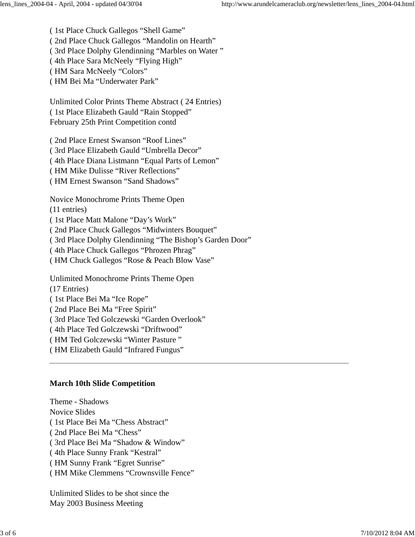( 1st Place Chuck Gallegos "Shell Game" ( 2nd Place Chuck Gallegos "Mandolin on Hearth" ( 3rd Place Dolphy Glendinning "Marbles on Water " ( 4th Place Sara McNeely "Flying High" ( HM Sara McNeely "Colors" ( HM Bei Ma "Underwater Park"

Unlimited Color Prints Theme Abstract ( 24 Entries) ( 1st Place Elizabeth Gauld "Rain Stopped" February 25th Print Competition contd

( 2nd Place Ernest Swanson "Roof Lines" ( 3rd Place Elizabeth Gauld "Umbrella Decor" ( 4th Place Diana Listmann "Equal Parts of Lemon" ( HM Mike Dulisse "River Reflections" ( HM Ernest Swanson "Sand Shadows"

Novice Monochrome Prints Theme Open

(11 entries)

( 1st Place Matt Malone "Day's Work"

( 2nd Place Chuck Gallegos "Midwinters Bouquet"

( 3rd Place Dolphy Glendinning "The Bishop's Garden Door"

( 4th Place Chuck Gallegos "Phrozen Phrag"

( HM Chuck Gallegos "Rose & Peach Blow Vase"

Unlimited Monochrome Prints Theme Open

(17 Entries)

( 1st Place Bei Ma "Ice Rope"

( 2nd Place Bei Ma "Free Spirit"

( 3rd Place Ted Golczewski "Garden Overlook"

( 4th Place Ted Golczewski "Driftwood"

( HM Ted Golczewski "Winter Pasture "

( HM Elizabeth Gauld "Infrared Fungus"

#### **March 10th Slide Competition**

Theme - Shadows Novice Slides ( 1st Place Bei Ma "Chess Abstract" ( 2nd Place Bei Ma "Chess" ( 3rd Place Bei Ma "Shadow & Window" ( 4th Place Sunny Frank "Kestral" ( HM Sunny Frank "Egret Sunrise" ( HM Mike Clemmens "Crownsville Fence"

Unlimited Slides to be shot since the May 2003 Business Meeting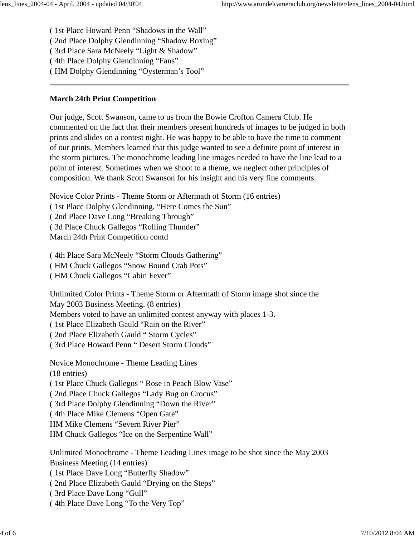( 1st Place Howard Penn "Shadows in the Wall"

( 2nd Place Dolphy Glendinning "Shadow Boxing"

( 3rd Place Sara McNeely "Light & Shadow"

( 4th Place Dolphy Glendinning "Fans"

( HM Dolphy Glendinning "Oysterman's Tool"

## **March 24th Print Competition**

Our judge, Scott Swanson, came to us from the Bowie Crofton Camera Club. He commented on the fact that their members present hundreds of images to be judged in both prints and slides on a contest night. He was happy to be able to have the time to comment of our prints. Members learned that this judge wanted to see a definite point of interest in the storm pictures. The monochrome leading line images needed to have the line lead to a point of interest. Sometimes when we shoot to a theme, we neglect other principles of composition. We thank Scott Swanson for his insight and his very fine comments.

Novice Color Prints - Theme Storm or Aftermath of Storm (16 entries)

( 1st Place Dolphy Glendinning, "Here Comes the Sun"

( 2nd Place Dave Long "Breaking Through"

( 3d Place Chuck Gallegos "Rolling Thunder"

March 24th Print Competition contd

( 4th Place Sara McNeely "Storm Clouds Gathering" ( HM Chuck Gallegos "Snow Bound Crab Pots" ( HM Chuck Gallegos "Cabin Fever"

Unlimited Color Prints - Theme Storm or Aftermath of Storm image shot since the May 2003 Business Meeting. (8 entries) Members voted to have an unlimited contest anyway with places 1-3. ( 1st Place Elizabeth Gauld "Rain on the River" ( 2nd Place Elizabeth Gauld " Storm Cycles" ( 3rd Place Howard Penn " Desert Storm Clouds"

Novice Monochrome - Theme Leading Lines (18 entries) ( 1st Place Chuck Gallegos " Rose in Peach Blow Vase" ( 2nd Place Chuck Gallegos "Lady Bug on Crocus" ( 3rd Place Dolphy Glendinning "Down the River" ( 4th Place Mike Clemens "Open Gate" HM Mike Clemens "Severn River Pier" HM Chuck Gallegos "Ice on the Serpentine Wall"

Unlimited Monochrome - Theme Leading Lines image to be shot since the May 2003 Business Meeting (14 entries)

( 1st Place Dave Long "Butterfly Shadow"

( 2nd Place Elizabeth Gauld "Drying on the Steps"

( 3rd Place Dave Long "Gull"

( 4th Place Dave Long "To the Very Top"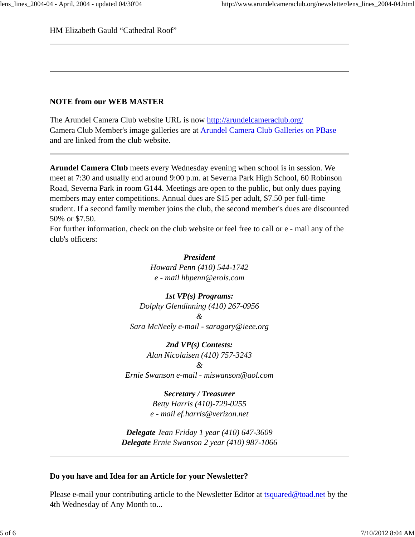HM Elizabeth Gauld "Cathedral Roof"

#### **NOTE from our WEB MASTER**

The Arundel Camera Club website URL is now http://arundelcameraclub.org/ Camera Club Member's image galleries are at Arundel Camera Club Galleries on PBase and are linked from the club website.

**Arundel Camera Club** meets every Wednesday evening when school is in session. We meet at 7:30 and usually end around 9:00 p.m. at Severna Park High School, 60 Robinson Road, Severna Park in room G144. Meetings are open to the public, but only dues paying members may enter competitions. Annual dues are \$15 per adult, \$7.50 per full-time student. If a second family member joins the club, the second member's dues are discounted 50% or \$7.50.

For further information, check on the club website or feel free to call or e - mail any of the club's officers:

> *President Howard Penn (410) 544-1742 e - mail hbpenn@erols.com*

*1st VP(s) Programs: Dolphy Glendinning (410) 267-0956 & Sara McNeely e-mail - saragary@ieee.org*

*2nd VP(s) Contests:*

*Alan Nicolaisen (410) 757-3243 & Ernie Swanson e-mail - miswanson@aol.com*

> *Secretary / Treasurer Betty Harris (410)-729-0255 e - mail ef.harris@verizon.net*

*Delegate Jean Friday 1 year (410) 647-3609 Delegate Ernie Swanson 2 year (410) 987-1066*

#### **Do you have and Idea for an Article for your Newsletter?**

Please e-mail your contributing article to the Newsletter Editor at tsquared@toad.net by the 4th Wednesday of Any Month to...